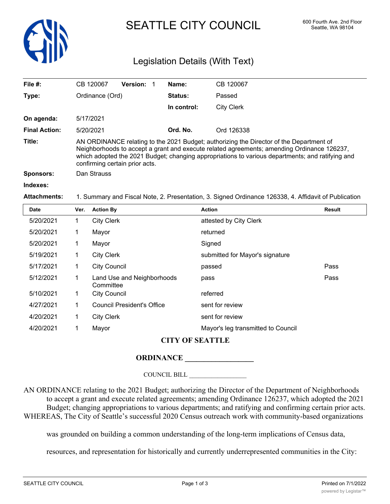

# SEATTLE CITY COUNCIL 600 Fourth Ave. 2nd Floor

## Legislation Details (With Text)

| File $#$ :           | CB 120067                                                                                                                                                                                                                                                                                                                   | <b>Version: 1</b> |                | Name:       | CB 120067  |
|----------------------|-----------------------------------------------------------------------------------------------------------------------------------------------------------------------------------------------------------------------------------------------------------------------------------------------------------------------------|-------------------|----------------|-------------|------------|
| Type:                | Ordinance (Ord)                                                                                                                                                                                                                                                                                                             |                   | <b>Status:</b> | Passed      |            |
|                      |                                                                                                                                                                                                                                                                                                                             |                   |                | In control: | City Clerk |
| On agenda:           | 5/17/2021                                                                                                                                                                                                                                                                                                                   |                   |                |             |            |
| <b>Final Action:</b> | 5/20/2021                                                                                                                                                                                                                                                                                                                   |                   |                | Ord. No.    | Ord 126338 |
| Title:               | AN ORDINANCE relating to the 2021 Budget; authorizing the Director of the Department of<br>Neighborhoods to accept a grant and execute related agreements; amending Ordinance 126237,<br>which adopted the 2021 Budget; changing appropriations to various departments; and ratifying and<br>confirming certain prior acts. |                   |                |             |            |
| <b>Sponsors:</b>     | Dan Strauss                                                                                                                                                                                                                                                                                                                 |                   |                |             |            |
| Indexes:             |                                                                                                                                                                                                                                                                                                                             |                   |                |             |            |
| <b>Attachments:</b>  | 1. Summary and Fiscal Note, 2. Presentation, 3. Signed Ordinance 126338, 4. Affidavit of Publication                                                                                                                                                                                                                        |                   |                |             |            |

| Date            | Ver. | <b>Action By</b>                        | <b>Action</b>                      | <b>Result</b> |  |
|-----------------|------|-----------------------------------------|------------------------------------|---------------|--|
| 5/20/2021       | 1    | <b>City Clerk</b>                       | attested by City Clerk             |               |  |
| 5/20/2021       | 1    | Mayor                                   | returned                           |               |  |
| 5/20/2021       | 1    | Mayor                                   | Signed                             |               |  |
| 5/19/2021       | 1    | <b>City Clerk</b>                       | submitted for Mayor's signature    |               |  |
| 5/17/2021       | 1    | <b>City Council</b>                     | passed                             | Pass          |  |
| 5/12/2021       | 1    | Land Use and Neighborhoods<br>Committee | pass                               | Pass          |  |
| 5/10/2021       | 1    | <b>City Council</b>                     | referred                           |               |  |
| 4/27/2021       | 1    | <b>Council President's Office</b>       | sent for review                    |               |  |
| 4/20/2021       | 1    | <b>City Clerk</b>                       | sent for review                    |               |  |
| 4/20/2021       | 1    | Mayor                                   | Mayor's leg transmitted to Council |               |  |
| CITV OF SEATTLE |      |                                         |                                    |               |  |

### **CITY OF SEATTLE**

### **ORDINANCE \_\_\_\_\_\_\_\_\_\_\_\_\_\_\_\_\_\_**

#### COUNCIL BILL \_\_\_\_\_\_\_\_\_\_\_\_\_\_\_\_\_\_

AN ORDINANCE relating to the 2021 Budget; authorizing the Director of the Department of Neighborhoods to accept a grant and execute related agreements; amending Ordinance 126237, which adopted the 2021 Budget; changing appropriations to various departments; and ratifying and confirming certain prior acts. WHEREAS, The City of Seattle's successful 2020 Census outreach work with community-based organizations

was grounded on building a common understanding of the long-term implications of Census data,

resources, and representation for historically and currently underrepresented communities in the City: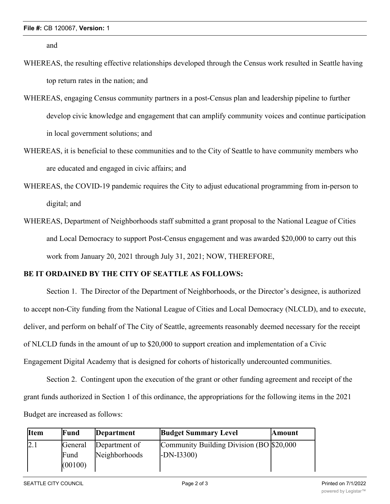and

- WHEREAS, the resulting effective relationships developed through the Census work resulted in Seattle having top return rates in the nation; and
- WHEREAS, engaging Census community partners in a post-Census plan and leadership pipeline to further develop civic knowledge and engagement that can amplify community voices and continue participation in local government solutions; and
- WHEREAS, it is beneficial to these communities and to the City of Seattle to have community members who are educated and engaged in civic affairs; and
- WHEREAS, the COVID-19 pandemic requires the City to adjust educational programming from in-person to digital; and
- WHEREAS, Department of Neighborhoods staff submitted a grant proposal to the National League of Cities and Local Democracy to support Post-Census engagement and was awarded \$20,000 to carry out this work from January 20, 2021 through July 31, 2021; NOW, THEREFORE,

### **BE IT ORDAINED BY THE CITY OF SEATTLE AS FOLLOWS:**

Section 1. The Director of the Department of Neighborhoods, or the Director's designee, is authorized to accept non-City funding from the National League of Cities and Local Democracy (NLCLD), and to execute, deliver, and perform on behalf of The City of Seattle, agreements reasonably deemed necessary for the receipt of NLCLD funds in the amount of up to \$20,000 to support creation and implementation of a Civic Engagement Digital Academy that is designed for cohorts of historically undercounted communities.

Section 2. Contingent upon the execution of the grant or other funding agreement and receipt of the grant funds authorized in Section 1 of this ordinance, the appropriations for the following items in the 2021 Budget are increased as follows:

| <b>I</b> tem | Fund            | Department    | <b>Budget Summary Level</b>               | <b>Amount</b> |
|--------------|-----------------|---------------|-------------------------------------------|---------------|
|              | General         | Department of | Community Building Division (BO \$20,000) |               |
|              | Fund<br>(00100) | Neighborhoods | $LDN-I3300$                               |               |